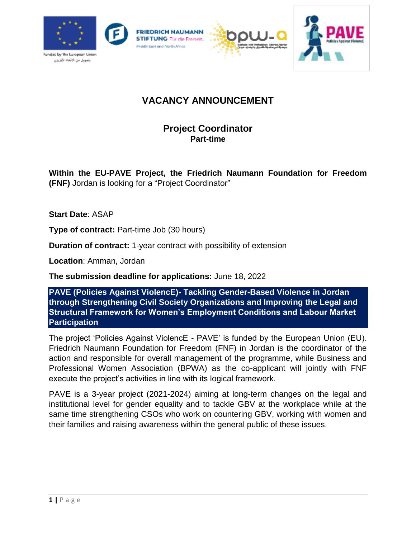

# **VACANCY ANNOUNCEMENT**

## **Project Coordinator Part-time**

**Within the EU-PAVE Project, the Friedrich Naumann Foundation for Freedom (FNF)** Jordan is looking for a "Project Coordinator"

**Start Date**: ASAP

**Type of contract:** Part-time Job (30 hours)

**Duration of contract:** 1-year contract with possibility of extension

**Location**: Amman, Jordan

**The submission deadline for applications:** June 18, 2022

**PAVE (Policies Against ViolencE)- Tackling Gender-Based Violence in Jordan through Strengthening Civil Society Organizations and Improving the Legal and Structural Framework for Women's Employment Conditions and Labour Market Participation**

The project 'Policies Against ViolencE - PAVE' is funded by the European Union (EU). Friedrich Naumann Foundation for Freedom (FNF) in Jordan is the coordinator of the action and responsible for overall management of the programme, while Business and Professional Women Association (BPWA) as the co-applicant will jointly with FNF execute the project's activities in line with its logical framework.

PAVE is a 3-year project (2021-2024) aiming at long-term changes on the legal and institutional level for gender equality and to tackle GBV at the workplace while at the same time strengthening CSOs who work on countering GBV, working with women and their families and raising awareness within the general public of these issues.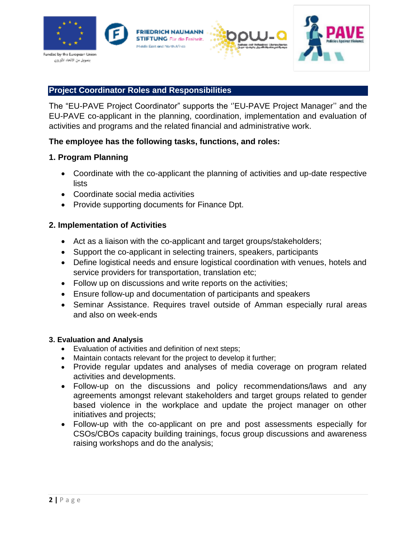

#### **Project Coordinator Roles and Responsibilities**

The "EU-PAVE Project Coordinator" supports the ''EU-PAVE Project Manager'' and the EU-PAVE co-applicant in the planning, coordination, implementation and evaluation of activities and programs and the related financial and administrative work.

#### **The employee has the following tasks, functions, and roles:**

#### **1. Program Planning**

- Coordinate with the co-applicant the planning of activities and up-date respective lists
- Coordinate social media activities
- Provide supporting documents for Finance Dpt.

#### **2. Implementation of Activities**

- Act as a liaison with the co-applicant and target groups/stakeholders;
- Support the co-applicant in selecting trainers, speakers, participants
- Define logistical needs and ensure logistical coordination with venues, hotels and service providers for transportation, translation etc;
- Follow up on discussions and write reports on the activities;
- Ensure follow-up and documentation of participants and speakers
- Seminar Assistance. Requires travel outside of Amman especially rural areas and also on week-ends

#### **3. Evaluation and Analysis**

- Evaluation of activities and definition of next steps;
- Maintain contacts relevant for the project to develop it further;
- Provide regular updates and analyses of media coverage on program related activities and developments.
- Follow-up on the discussions and policy recommendations/laws and any agreements amongst relevant stakeholders and target groups related to gender based violence in the workplace and update the project manager on other initiatives and projects;
- Follow-up with the co-applicant on pre and post assessments especially for CSOs/CBOs capacity building trainings, focus group discussions and awareness raising workshops and do the analysis;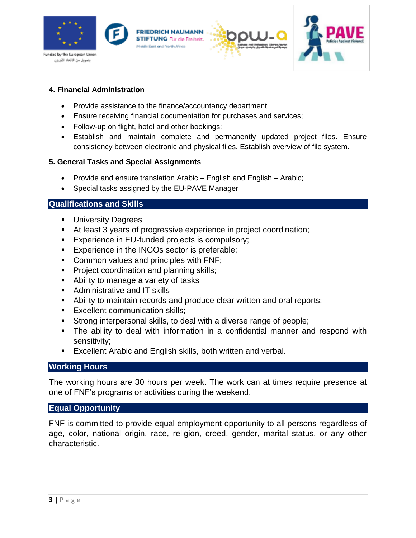

#### **4. Financial Administration**

- Provide assistance to the finance/accountancy department
- Ensure receiving financial documentation for purchases and services;
- Follow-up on flight, hotel and other bookings;
- Establish and maintain complete and permanently updated project files. Ensure consistency between electronic and physical files. Establish overview of file system.

#### **5. General Tasks and Special Assignments**

- Provide and ensure translation Arabic English and English Arabic;
- Special tasks assigned by the EU-PAVE Manager

#### **Qualifications and Skills**

- **University Degrees**
- At least 3 years of progressive experience in project coordination;
- **Experience in EU-funded projects is compulsory;**
- **Experience in the INGOs sector is preferable;**
- **Common values and principles with FNF;**
- **Project coordination and planning skills;**
- Ability to manage a variety of tasks
- Administrative and IT skills
- Ability to maintain records and produce clear written and oral reports;
- **Excellent communication skills;**
- Strong interpersonal skills, to deal with a diverse range of people;
- The ability to deal with information in a confidential manner and respond with sensitivity;
- **Excellent Arabic and English skills, both written and verbal.**

#### **Working Hours**

The working hours are 30 hours per week. The work can at times require presence at one of FNF's programs or activities during the weekend.

#### **Equal Opportunity**

FNF is committed to provide equal employment opportunity to all persons regardless of age, color, national origin, race, religion, creed, gender, marital status, or any other characteristic.